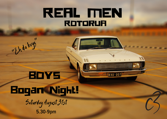## **REAL MEN** ROTORUA

 $|KVU \cdot 007|$ 

## **BDYS Bagan Night!** Saturday August 31st

"Ehda boys

 $\mathbf{u}$ 

**5.30-9pm**